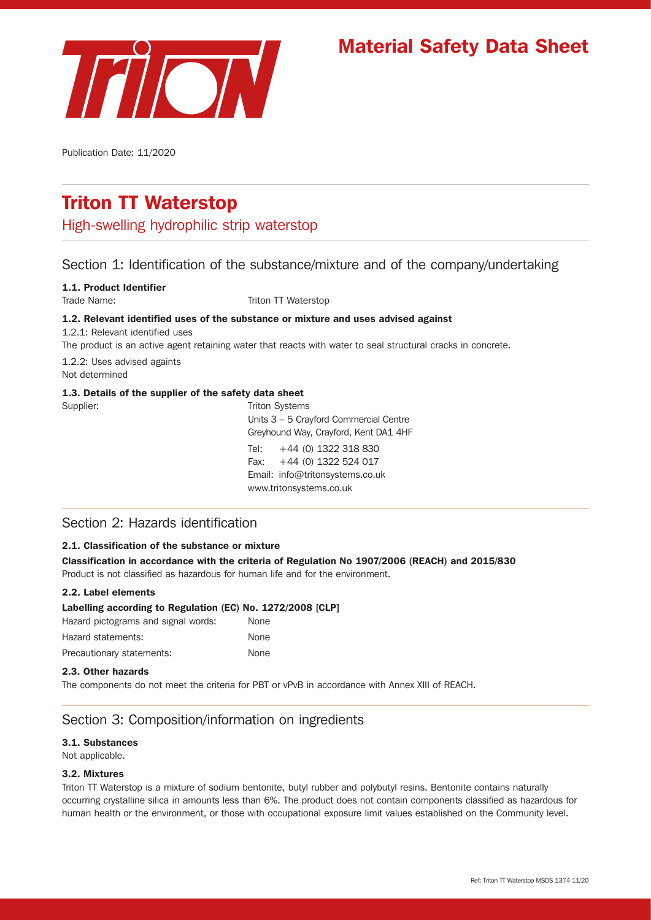

# Material Safety Data Sheet

Publication Date: 11/2020

# Triton TT Waterstop

High-swelling hydrophilic strip waterstop

# Section 1: Identification of the substance/mixture and of the company/undertaking

### 1.1. Product Identifier

Trade Name: Triton TT Waterstop

### 1.2. Relevant identified uses of the substance or mixture and uses advised against

1.2.1: Relevant identified uses

The product is an active agent retaining water that reacts with water to seal structural cracks in concrete.

1.2.2: Uses advised againts

Not determined

Supplier:

### 1.3. Details of the supplier of the safety data sheet

| Supplier: | <b>Triton Systems</b>                    |
|-----------|------------------------------------------|
|           | Units $3 - 5$ Crayford Commercial Centre |
|           | Greyhound Way, Crayford, Kent DA1 4HF    |
|           | Tel: $+44$ (0) 1322 318 830              |
|           | Fax: $+44$ (0) 1322 524 017              |
|           | Email: info@tritonsystems.co.uk          |
|           | www.tritonsystems.co.uk                  |
|           |                                          |

# Section 2: Hazards identification

### 2.1. Classification of the substance or mixture

Classification in accordance with the criteria of Regulation No 1907/2006 (REACH) and 2015/830 Product is not classified as hazardous for human life and for the environment.

### 2.2. Label elements

| Labelling according to Regulation (EC) No. 1272/2008 [CLP] |             |
|------------------------------------------------------------|-------------|
| Hazard pictograms and signal words:                        | <b>None</b> |
| Hazard statements:                                         | None        |
| Precautionary statements:                                  | None        |

### 2.3. Other hazards

The components do not meet the criteria for PBT or vPvB in accordance with Annex XIII of REACH.

# Section 3: Composition/information on ingredients

### 3.1. Substances

Not applicable.

### 3.2. Mixtures

Triton TT Waterstop is a mixture of sodium bentonite, butyl rubber and polybutyl resins. Bentonite contains naturally occurring crystalline silica in amounts less than 6%. The product does not contain components classified as hazardous for human health or the environment, or those with occupational exposure limit values established on the Community level.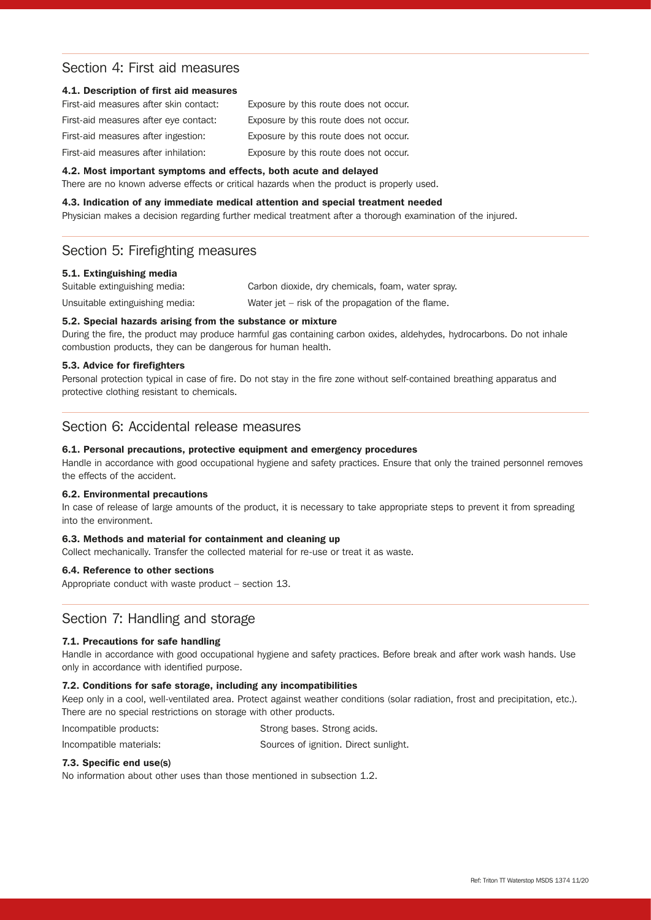# Section 4: First aid measures

### 4.1. Description of first aid measures

| First-aid measures after skin contact: | Exposure by this route does not occur. |
|----------------------------------------|----------------------------------------|
| First-aid measures after eye contact:  | Exposure by this route does not occur. |
| First-aid measures after ingestion:    | Exposure by this route does not occur. |
| First-aid measures after inhilation:   | Exposure by this route does not occur. |

#### 4.2. Most important symptoms and effects, both acute and delayed

There are no known adverse effects or critical hazards when the product is properly used.

#### 4.3. Indication of any immediate medical attention and special treatment needed

Physician makes a decision regarding further medical treatment after a thorough examination of the injured.

## Section 5: Firefighting measures

### 5.1. Extinguishing media

Suitable extinguishing media: Carbon dioxide, dry chemicals, foam, water spray.

Unsuitable extinguishing media: Water jet – risk of the propagation of the flame.

### 5.2. Special hazards arising from the substance or mixture

During the fire, the product may produce harmful gas containing carbon oxides, aldehydes, hydrocarbons. Do not inhale combustion products, they can be dangerous for human health.

### 5.3. Advice for firefighters

Personal protection typical in case of fire. Do not stay in the fire zone without self-contained breathing apparatus and protective clothing resistant to chemicals.

# Section 6: Accidental release measures

### 6.1. Personal precautions, protective equipment and emergency procedures

Handle in accordance with good occupational hygiene and safety practices. Ensure that only the trained personnel removes the effects of the accident.

### 6.2. Environmental precautions

In case of release of large amounts of the product, it is necessary to take appropriate steps to prevent it from spreading into the environment.

#### 6.3. Methods and material for containment and cleaning up

Collect mechanically. Transfer the collected material for re-use or treat it as waste.

### 6.4. Reference to other sections

Appropriate conduct with waste product – section 13.

### Section 7: Handling and storage

### 7.1. Precautions for safe handling

Handle in accordance with good occupational hygiene and safety practices. Before break and after work wash hands. Use only in accordance with identified purpose.

### 7.2. Conditions for safe storage, including any incompatibilities

Keep only in a cool, well-ventilated area. Protect against weather conditions (solar radiation, frost and precipitation, etc.). There are no special restrictions on storage with other products.

| Incompatible products: | Strong bases. Strong acids. |
|------------------------|-----------------------------|
|------------------------|-----------------------------|

| Incompatible materials: | Sources of ignition. Direct sunlight. |  |
|-------------------------|---------------------------------------|--|
|                         |                                       |  |

### 7.3. Specific end use(s)

No information about other uses than those mentioned in subsection 1.2.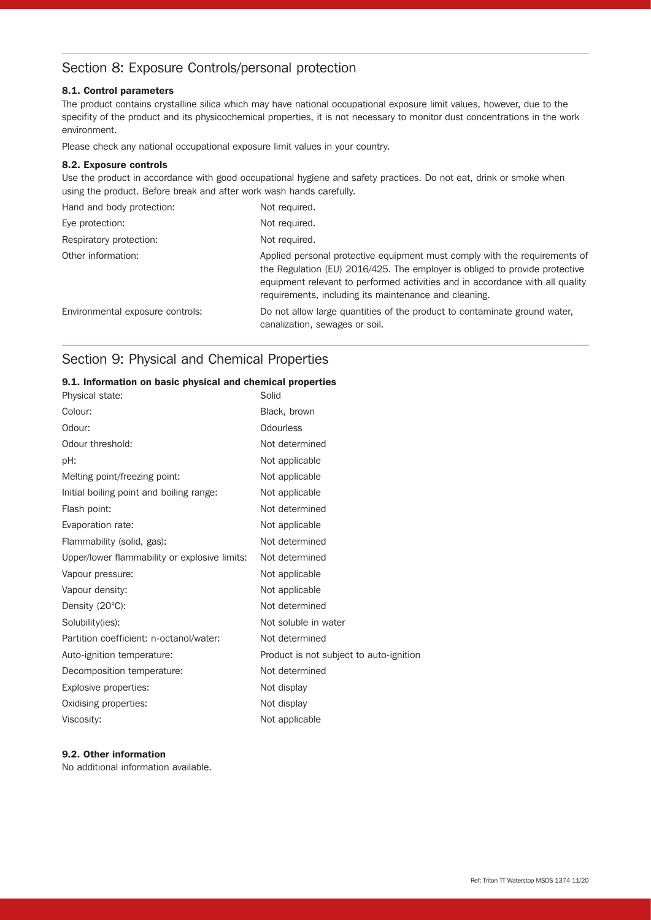# Section 8: Exposure Controls/personal protection

### 8.1. Control parameters

The product contains crystalline silica which may have national occupational exposure limit values, however, due to the specifity of the product and its physicochemical properties, it is not necessary to monitor dust concentrations in the work environment.

Please check any national occupational exposure limit values in your country.

### 8.2. Exposure controls

Use the product in accordance with good occupational hygiene and safety practices. Do not eat, drink or smoke when using the product. Before break and after work wash hands carefully.

| Hand and body protection:        | Not required.                                                                                                                                                                                                                                                                                       |
|----------------------------------|-----------------------------------------------------------------------------------------------------------------------------------------------------------------------------------------------------------------------------------------------------------------------------------------------------|
| Eye protection:                  | Not required.                                                                                                                                                                                                                                                                                       |
| Respiratory protection:          | Not required.                                                                                                                                                                                                                                                                                       |
| Other information:               | Applied personal protective equipment must comply with the requirements of<br>the Regulation (EU) 2016/425. The employer is obliged to provide protective<br>equipment relevant to performed activities and in accordance with all quality<br>requirements, including its maintenance and cleaning. |
| Environmental exposure controls: | Do not allow large quantities of the product to contaminate ground water.<br>canalization, sewages or soil.                                                                                                                                                                                         |

# Section 9: Physical and Chemical Properties

|  | 9.1. Information on basic physical and chemical properties |  |  |  |  |  |
|--|------------------------------------------------------------|--|--|--|--|--|
|--|------------------------------------------------------------|--|--|--|--|--|

| Physical state:                               | Solid                                   |
|-----------------------------------------------|-----------------------------------------|
| Colour:                                       | Black, brown                            |
| Odour:                                        | <b>Odourless</b>                        |
| Odour threshold:                              | Not determined                          |
| pH:                                           | Not applicable                          |
| Melting point/freezing point:                 | Not applicable                          |
| Initial boiling point and boiling range:      | Not applicable                          |
| Flash point:                                  | Not determined                          |
| Evaporation rate:                             | Not applicable                          |
| Flammability (solid, gas):                    | Not determined                          |
| Upper/lower flammability or explosive limits: | Not determined                          |
| Vapour pressure:                              | Not applicable                          |
| Vapour density:                               | Not applicable                          |
| Density $(20^{\circ}C)$ :                     | Not determined                          |
| Solubility(ies):                              | Not soluble in water                    |
| Partition coefficient: n-octanol/water:       | Not determined                          |
| Auto-ignition temperature:                    | Product is not subject to auto-ignition |
| Decomposition temperature:                    | Not determined                          |
| Explosive properties:                         | Not display                             |
| Oxidising properties:                         | Not display                             |
| Viscosity:                                    | Not applicable                          |

### 9.2. Other information

No additional information available.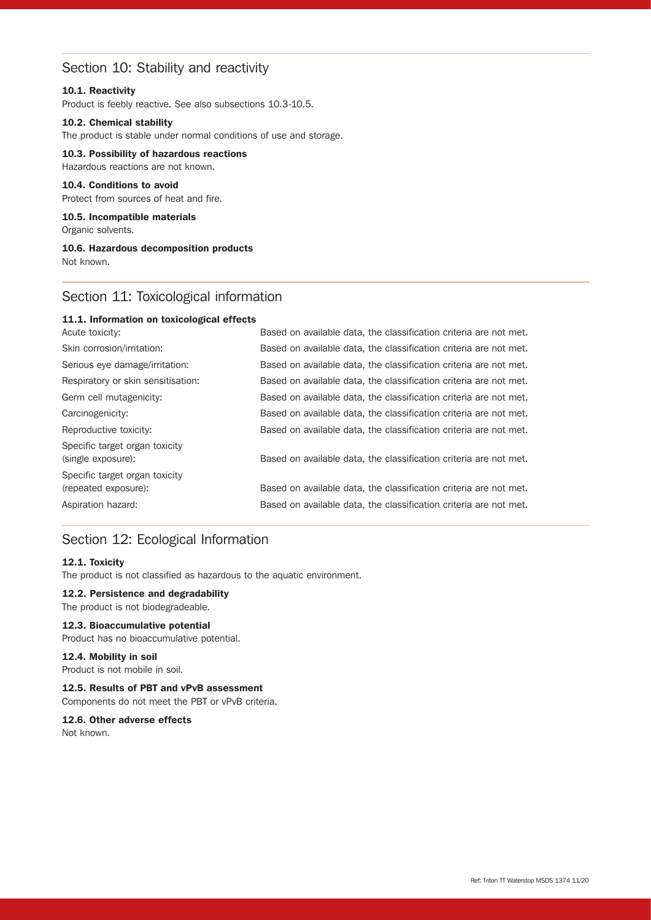# Section 10: Stability and reactivity

### 10.1. Reactivity

Product is feebly reactive. See also subsections 10.3-10.5.

### 10.2. Chemical stability

The product is stable under normal conditions of use and storage.

10.3. Possibility of hazardous reactions Hazardous reactions are not known.

### 10.4. Conditions to avoid

Protect from sources of heat and fire.

10.5. Incompatible materials Organic solvents.

### 10.6. Hazardous decomposition products Not known.

# Section 11: Toxicological information

### 11.1. Information on toxicological effects

| Acute toxicity:                                        | Based on available data, the classification criteria are not met. |
|--------------------------------------------------------|-------------------------------------------------------------------|
| Skin corrosion/irritation:                             | Based on available data, the classification criteria are not met. |
| Serious eye damage/irritation:                         | Based on available data, the classification criteria are not met. |
| Respiratory or skin sensitisation:                     | Based on available data, the classification criteria are not met. |
| Germ cell mutagenicity:                                | Based on available data, the classification criteria are not met. |
| Carcinogenicity:                                       | Based on available data, the classification criteria are not met. |
| Reproductive toxicity:                                 | Based on available data, the classification criteria are not met. |
| Specific target organ toxicity<br>(single exposure):   | Based on available data, the classification criteria are not met. |
| Specific target organ toxicity<br>(repeated exposure): | Based on available data, the classification criteria are not met. |
| Aspiration hazard:                                     | Based on available data, the classification criteria are not met. |
|                                                        |                                                                   |

# Section 12: Ecological Information

### 12.1. Toxicity

The product is not classified as hazardous to the aquatic environment.

### 12.2. Persistence and degradability

The product is not biodegradeable.

### 12.3. Bioaccumulative potential

Product has no bioaccumulative potential.

### 12.4. Mobility in soil

Product is not mobile in soil.

12.5. Results of PBT and vPvB assessment Components do not meet the PBT or vPvB criteria.

# 12.6. Other adverse effects

Not known.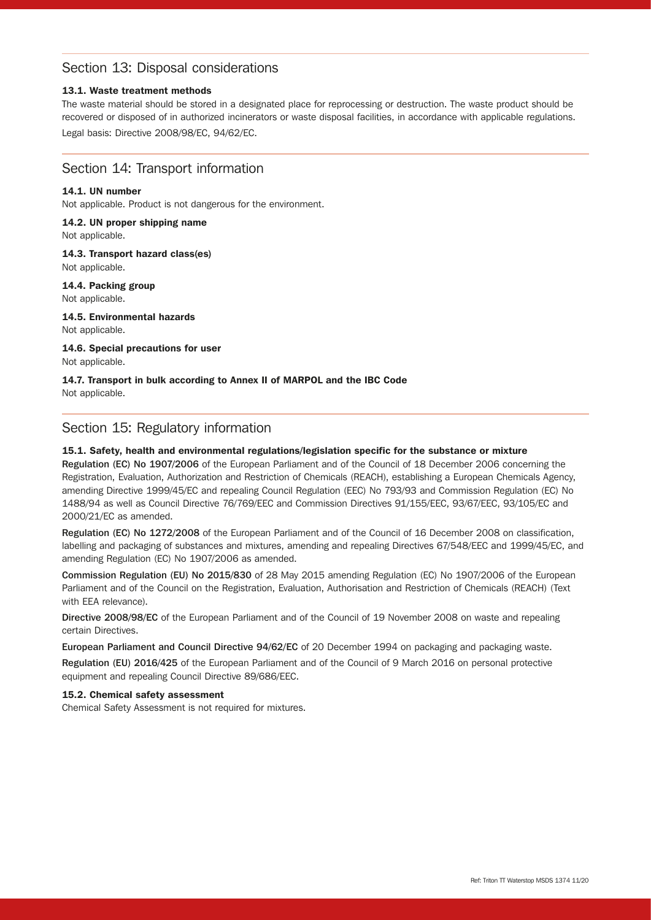# Section 13: Disposal considerations

### 13.1. Waste treatment methods

The waste material should be stored in a designated place for reprocessing or destruction. The waste product should be recovered or disposed of in authorized incinerators or waste disposal facilities, in accordance with applicable regulations. Legal basis: Directive 2008/98/EC, 94/62/EC.

### Section 14: Transport information

### 14.1. UN number

Not applicable. Product is not dangerous for the environment.

### 14.2. UN proper shipping name

Not applicable.

14.3. Transport hazard class(es) Not applicable.

### 14.4. Packing group Not applicable.

14.5. Environmental hazards Not applicable.

### 14.6. Special precautions for user Not applicable.

# 14.7. Transport in bulk according to Annex II of MARPOL and the IBC Code

Not applicable.

# Section 15: Regulatory information

### 15.1. Safety, health and environmental regulations/legislation specific for the substance or mixture

Regulation (EC) No 1907/2006 of the European Parliament and of the Council of 18 December 2006 concerning the Registration, Evaluation, Authorization and Restriction of Chemicals (REACH), establishing a European Chemicals Agency, amending Directive 1999/45/EC and repealing Council Regulation (EEC) No 793/93 and Commission Regulation (EC) No 1488/94 as well as Council Directive 76/769/EEC and Commission Directives 91/155/EEC, 93/67/EEC, 93/105/EC and 2000/21/EC as amended.

Regulation (EC) No 1272/2008 of the European Parliament and of the Council of 16 December 2008 on classification, labelling and packaging of substances and mixtures, amending and repealing Directives 67/548/EEC and 1999/45/EC, and amending Regulation (EC) No 1907/2006 as amended.

Commission Regulation (EU) No 2015/830 of 28 May 2015 amending Regulation (EC) No 1907/2006 of the European Parliament and of the Council on the Registration, Evaluation, Authorisation and Restriction of Chemicals (REACH) (Text with EEA relevance).

Directive 2008/98/EC of the European Parliament and of the Council of 19 November 2008 on waste and repealing certain Directives.

European Parliament and Council Directive 94/62/EC of 20 December 1994 on packaging and packaging waste.

Regulation (EU) 2016/425 of the European Parliament and of the Council of 9 March 2016 on personal protective equipment and repealing Council Directive 89/686/EEC.

### 15.2. Chemical safety assessment

Chemical Safety Assessment is not required for mixtures.